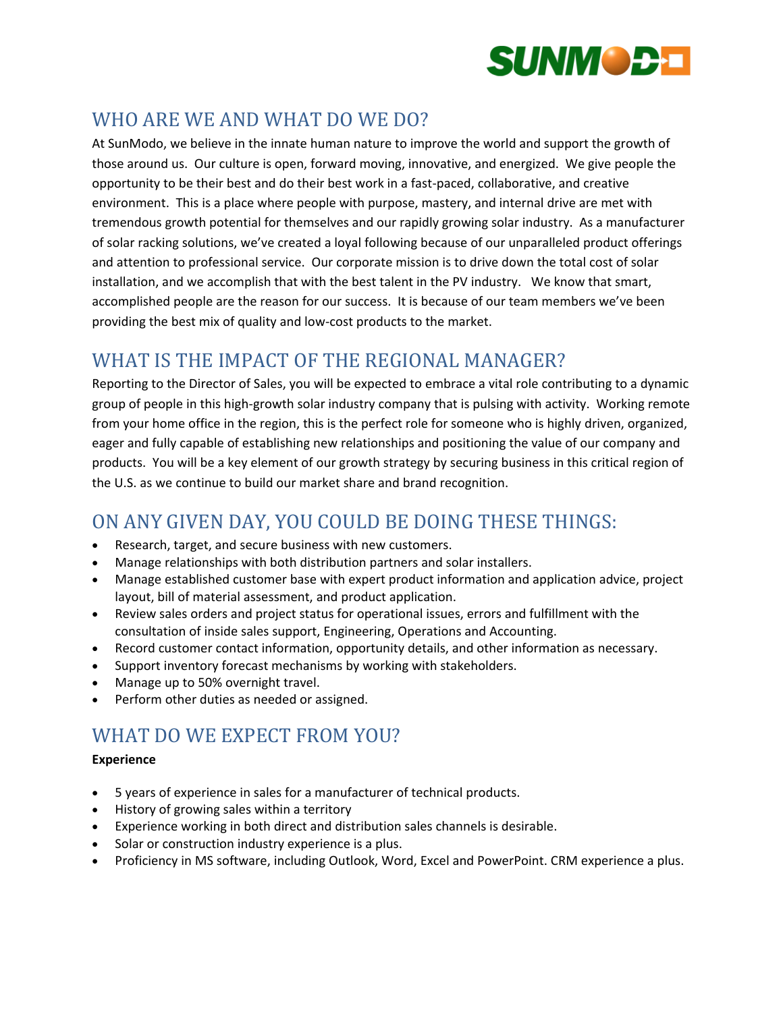

# WHO ARE WE AND WHAT DO WE DO?

At SunModo, we believe in the innate human nature to improve the world and support the growth of those around us. Our culture is open, forward moving, innovative, and energized. We give people the opportunity to be their best and do their best work in a fast-paced, collaborative, and creative environment. This is a place where people with purpose, mastery, and internal drive are met with tremendous growth potential for themselves and our rapidly growing solar industry. As a manufacturer of solar racking solutions, we've created a loyal following because of our unparalleled product offerings and attention to professional service. Our corporate mission is to drive down the total cost of solar installation, and we accomplish that with the best talent in the PV industry. We know that smart, accomplished people are the reason for our success. It is because of our team members we've been providing the best mix of quality and low-cost products to the market.

## WHAT IS THE IMPACT OF THE REGIONAL MANAGER?

Reporting to the Director of Sales, you will be expected to embrace a vital role contributing to a dynamic group of people in this high-growth solar industry company that is pulsing with activity. Working remote from your home office in the region, this is the perfect role for someone who is highly driven, organized, eager and fully capable of establishing new relationships and positioning the value of our company and products. You will be a key element of our growth strategy by securing business in this critical region of the U.S. as we continue to build our market share and brand recognition.

## ON ANY GIVEN DAY, YOU COULD BE DOING THESE THINGS:

- Research, target, and secure business with new customers.
- Manage relationships with both distribution partners and solar installers.
- Manage established customer base with expert product information and application advice, project layout, bill of material assessment, and product application.
- Review sales orders and project status for operational issues, errors and fulfillment with the consultation of inside sales support, Engineering, Operations and Accounting.
- Record customer contact information, opportunity details, and other information as necessary.
- Support inventory forecast mechanisms by working with stakeholders.
- Manage up to 50% overnight travel.
- Perform other duties as needed or assigned.

## WHAT DO WE EXPECT FROM YOU?

#### **Experience**

- 5 years of experience in sales for a manufacturer of technical products.
- History of growing sales within a territory
- Experience working in both direct and distribution sales channels is desirable.
- Solar or construction industry experience is a plus.
- Proficiency in MS software, including Outlook, Word, Excel and PowerPoint. CRM experience a plus.